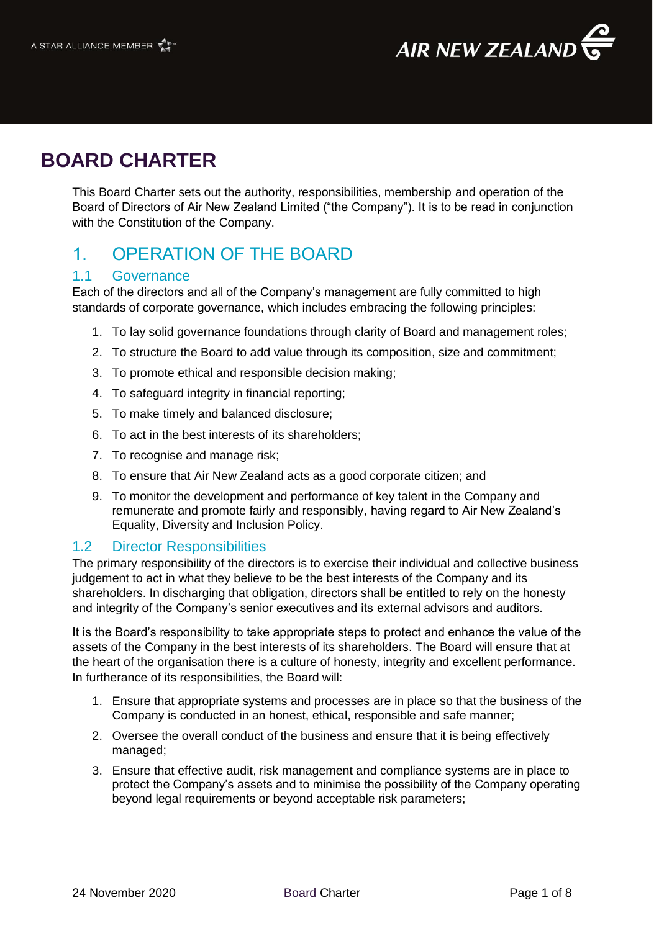

# **BOARD CHARTER**

This Board Charter sets out the authority, responsibilities, membership and operation of the Board of Directors of Air New Zealand Limited ("the Company"). It is to be read in conjunction with the Constitution of the Company.

## 1. OPERATION OF THE BOARD

### 1.1 Governance

Each of the directors and all of the Company's management are fully committed to high standards of corporate governance, which includes embracing the following principles:

- 1. To lay solid governance foundations through clarity of Board and management roles;
- 2. To structure the Board to add value through its composition, size and commitment;
- 3. To promote ethical and responsible decision making;
- 4. To safeguard integrity in financial reporting;
- 5. To make timely and balanced disclosure;
- 6. To act in the best interests of its shareholders;
- 7. To recognise and manage risk;
- 8. To ensure that Air New Zealand acts as a good corporate citizen; and
- 9. To monitor the development and performance of key talent in the Company and remunerate and promote fairly and responsibly, having regard to Air New Zealand's Equality, Diversity and Inclusion Policy.

### 1.2 Director Responsibilities

The primary responsibility of the directors is to exercise their individual and collective business judgement to act in what they believe to be the best interests of the Company and its shareholders. In discharging that obligation, directors shall be entitled to rely on the honesty and integrity of the Company's senior executives and its external advisors and auditors.

It is the Board's responsibility to take appropriate steps to protect and enhance the value of the assets of the Company in the best interests of its shareholders. The Board will ensure that at the heart of the organisation there is a culture of honesty, integrity and excellent performance. In furtherance of its responsibilities, the Board will:

- 1. Ensure that appropriate systems and processes are in place so that the business of the Company is conducted in an honest, ethical, responsible and safe manner;
- 2. Oversee the overall conduct of the business and ensure that it is being effectively managed;
- 3. Ensure that effective audit, risk management and compliance systems are in place to protect the Company's assets and to minimise the possibility of the Company operating beyond legal requirements or beyond acceptable risk parameters;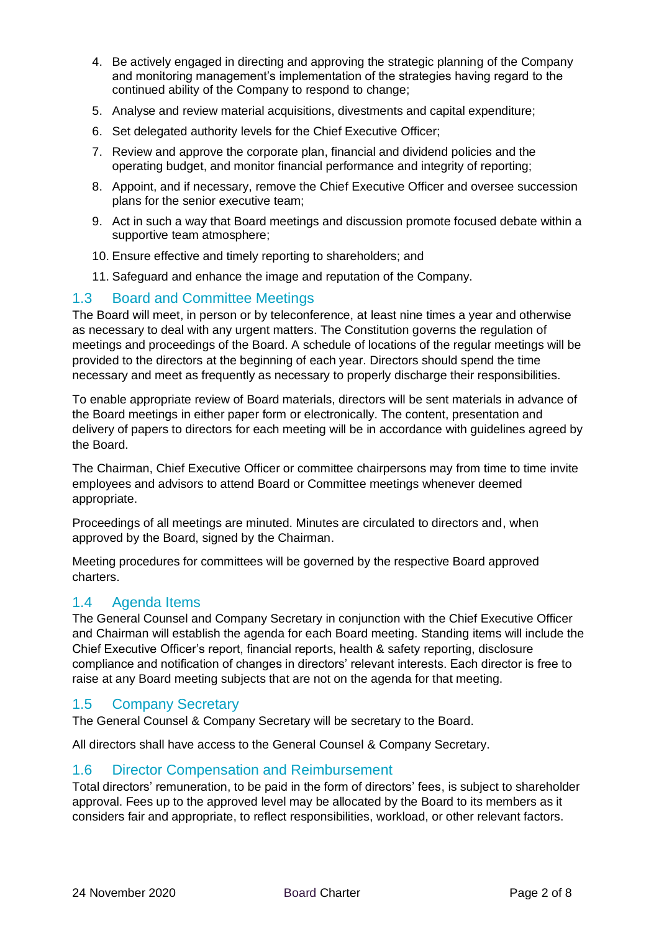- 4. Be actively engaged in directing and approving the strategic planning of the Company and monitoring management's implementation of the strategies having regard to the continued ability of the Company to respond to change;
- 5. Analyse and review material acquisitions, divestments and capital expenditure;
- 6. Set delegated authority levels for the Chief Executive Officer;
- 7. Review and approve the corporate plan, financial and dividend policies and the operating budget, and monitor financial performance and integrity of reporting;
- 8. Appoint, and if necessary, remove the Chief Executive Officer and oversee succession plans for the senior executive team;
- 9. Act in such a way that Board meetings and discussion promote focused debate within a supportive team atmosphere;
- 10. Ensure effective and timely reporting to shareholders; and
- 11. Safeguard and enhance the image and reputation of the Company.

### 1.3 Board and Committee Meetings

The Board will meet, in person or by teleconference, at least nine times a year and otherwise as necessary to deal with any urgent matters. The Constitution governs the regulation of meetings and proceedings of the Board. A schedule of locations of the regular meetings will be provided to the directors at the beginning of each year. Directors should spend the time necessary and meet as frequently as necessary to properly discharge their responsibilities.

To enable appropriate review of Board materials, directors will be sent materials in advance of the Board meetings in either paper form or electronically. The content, presentation and delivery of papers to directors for each meeting will be in accordance with guidelines agreed by the Board.

The Chairman, Chief Executive Officer or committee chairpersons may from time to time invite employees and advisors to attend Board or Committee meetings whenever deemed appropriate.

Proceedings of all meetings are minuted. Minutes are circulated to directors and, when approved by the Board, signed by the Chairman.

Meeting procedures for committees will be governed by the respective Board approved charters.

### 1.4 Agenda Items

The General Counsel and Company Secretary in conjunction with the Chief Executive Officer and Chairman will establish the agenda for each Board meeting. Standing items will include the Chief Executive Officer's report, financial reports, health & safety reporting, disclosure compliance and notification of changes in directors' relevant interests. Each director is free to raise at any Board meeting subjects that are not on the agenda for that meeting.

### 1.5 Company Secretary

The General Counsel & Company Secretary will be secretary to the Board.

All directors shall have access to the General Counsel & Company Secretary.

### 1.6 Director Compensation and Reimbursement

Total directors' remuneration, to be paid in the form of directors' fees, is subject to shareholder approval. Fees up to the approved level may be allocated by the Board to its members as it considers fair and appropriate, to reflect responsibilities, workload, or other relevant factors.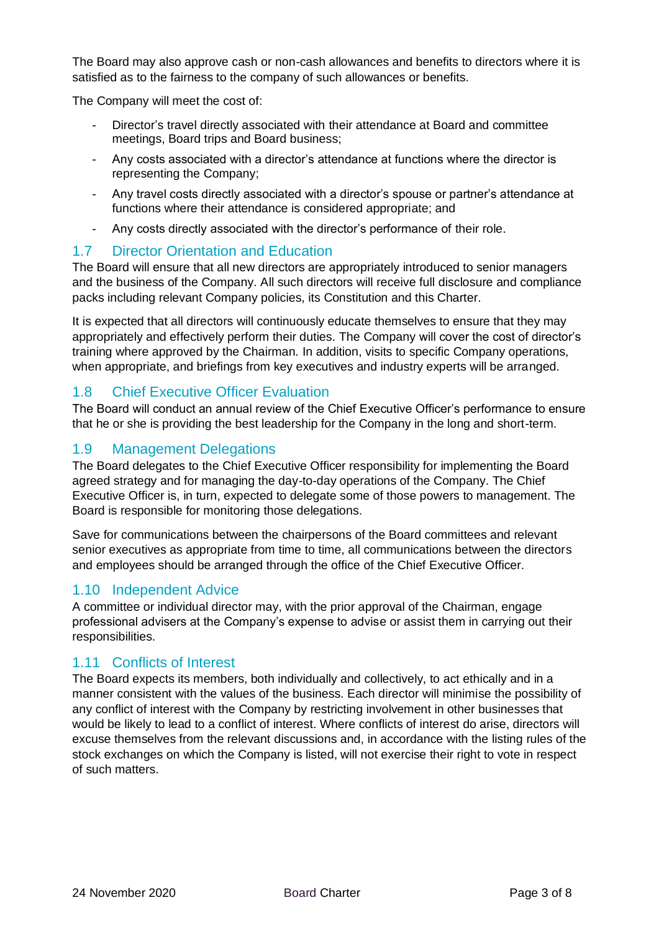The Board may also approve cash or non-cash allowances and benefits to directors where it is satisfied as to the fairness to the company of such allowances or benefits.

The Company will meet the cost of:

- Director's travel directly associated with their attendance at Board and committee meetings, Board trips and Board business;
- Any costs associated with a director's attendance at functions where the director is representing the Company;
- Any travel costs directly associated with a director's spouse or partner's attendance at functions where their attendance is considered appropriate; and
- Any costs directly associated with the director's performance of their role.

#### 1.7 Director Orientation and Education

The Board will ensure that all new directors are appropriately introduced to senior managers and the business of the Company. All such directors will receive full disclosure and compliance packs including relevant Company policies, its Constitution and this Charter.

It is expected that all directors will continuously educate themselves to ensure that they may appropriately and effectively perform their duties. The Company will cover the cost of director's training where approved by the Chairman. In addition, visits to specific Company operations, when appropriate, and briefings from key executives and industry experts will be arranged.

### 1.8 Chief Executive Officer Evaluation

The Board will conduct an annual review of the Chief Executive Officer's performance to ensure that he or she is providing the best leadership for the Company in the long and short-term.

### 1.9 Management Delegations

The Board delegates to the Chief Executive Officer responsibility for implementing the Board agreed strategy and for managing the day-to-day operations of the Company. The Chief Executive Officer is, in turn, expected to delegate some of those powers to management. The Board is responsible for monitoring those delegations.

Save for communications between the chairpersons of the Board committees and relevant senior executives as appropriate from time to time, all communications between the directors and employees should be arranged through the office of the Chief Executive Officer.

### 1.10 Independent Advice

A committee or individual director may, with the prior approval of the Chairman, engage professional advisers at the Company's expense to advise or assist them in carrying out their responsibilities.

### 1.11 Conflicts of Interest

The Board expects its members, both individually and collectively, to act ethically and in a manner consistent with the values of the business. Each director will minimise the possibility of any conflict of interest with the Company by restricting involvement in other businesses that would be likely to lead to a conflict of interest. Where conflicts of interest do arise, directors will excuse themselves from the relevant discussions and, in accordance with the listing rules of the stock exchanges on which the Company is listed, will not exercise their right to vote in respect of such matters.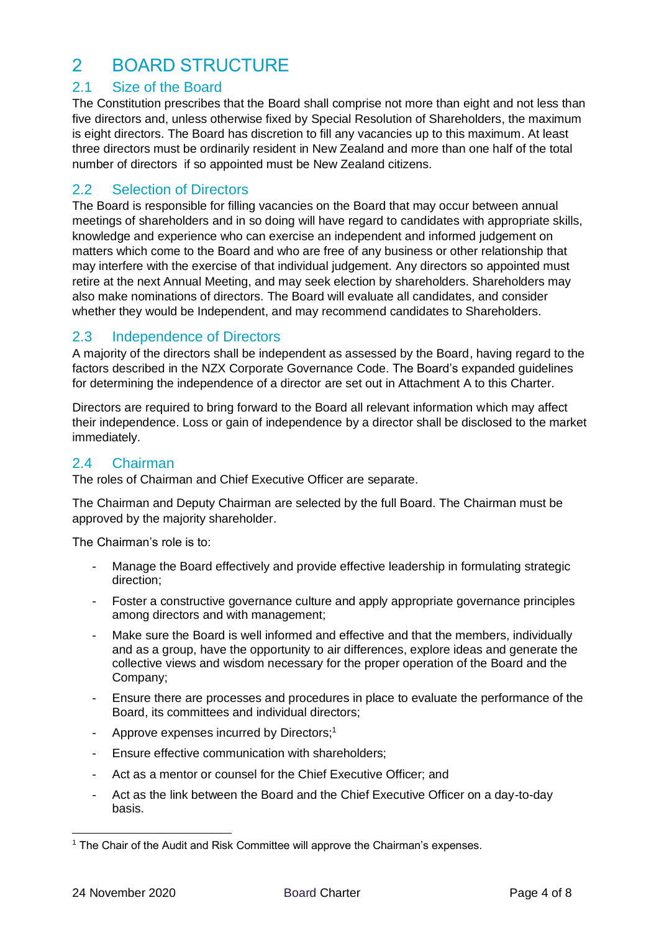## 2 BOARD STRUCTURE

## 2.1 Size of the Board

The Constitution prescribes that the Board shall comprise not more than eight and not less than five directors and, unless otherwise fixed by Special Resolution of Shareholders, the maximum is eight directors. The Board has discretion to fill any vacancies up to this maximum. At least three directors must be ordinarily resident in New Zealand and more than one half of the total number of directors if so appointed must be New Zealand citizens.

### 2.2 Selection of Directors

The Board is responsible for filling vacancies on the Board that may occur between annual meetings of shareholders and in so doing will have regard to candidates with appropriate skills, knowledge and experience who can exercise an independent and informed judgement on matters which come to the Board and who are free of any business or other relationship that may interfere with the exercise of that individual judgement. Any directors so appointed must retire at the next Annual Meeting, and may seek election by shareholders. Shareholders may also make nominations of directors. The Board will evaluate all candidates, and consider whether they would be Independent, and may recommend candidates to Shareholders.

### 2.3 Independence of Directors

A majority of the directors shall be independent as assessed by the Board, having regard to the factors described in the NZX Corporate Governance Code. The Board's expanded guidelines for determining the independence of a director are set out in Attachment A to this Charter.

Directors are required to bring forward to the Board all relevant information which may affect their independence. Loss or gain of independence by a director shall be disclosed to the market immediately.

### 2.4 Chairman

The roles of Chairman and Chief Executive Officer are separate.

The Chairman and Deputy Chairman are selected by the full Board. The Chairman must be approved by the majority shareholder.

The Chairman's role is to:

- Manage the Board effectively and provide effective leadership in formulating strategic direction;
- Foster a constructive governance culture and apply appropriate governance principles among directors and with management;
- Make sure the Board is well informed and effective and that the members, individually and as a group, have the opportunity to air differences, explore ideas and generate the collective views and wisdom necessary for the proper operation of the Board and the Company;
- Ensure there are processes and procedures in place to evaluate the performance of the Board, its committees and individual directors;
- Approve expenses incurred by Directors;<sup>1</sup>
- Ensure effective communication with shareholders;
- Act as a mentor or counsel for the Chief Executive Officer; and
- Act as the link between the Board and the Chief Executive Officer on a day-to-day basis.

<sup>&</sup>lt;sup>1</sup> The Chair of the Audit and Risk Committee will approve the Chairman's expenses.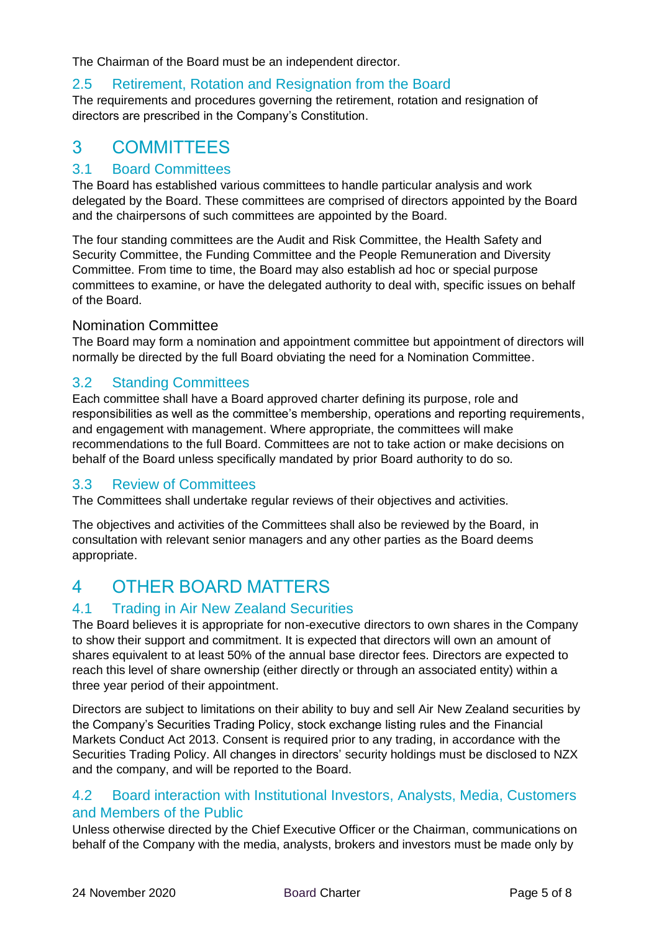The Chairman of the Board must be an independent director.

## 2.5 Retirement, Rotation and Resignation from the Board

The requirements and procedures governing the retirement, rotation and resignation of directors are prescribed in the Company's Constitution.

## 3 COMMITTEES

## 3.1 Board Committees

The Board has established various committees to handle particular analysis and work delegated by the Board. These committees are comprised of directors appointed by the Board and the chairpersons of such committees are appointed by the Board.

The four standing committees are the Audit and Risk Committee, the Health Safety and Security Committee, the Funding Committee and the People Remuneration and Diversity Committee. From time to time, the Board may also establish ad hoc or special purpose committees to examine, or have the delegated authority to deal with, specific issues on behalf of the Board.

### Nomination Committee

The Board may form a nomination and appointment committee but appointment of directors will normally be directed by the full Board obviating the need for a Nomination Committee.

## 3.2 Standing Committees

Each committee shall have a Board approved charter defining its purpose, role and responsibilities as well as the committee's membership, operations and reporting requirements, and engagement with management. Where appropriate, the committees will make recommendations to the full Board. Committees are not to take action or make decisions on behalf of the Board unless specifically mandated by prior Board authority to do so.

## 3.3 Review of Committees

The Committees shall undertake regular reviews of their objectives and activities.

The objectives and activities of the Committees shall also be reviewed by the Board, in consultation with relevant senior managers and any other parties as the Board deems appropriate.

## 4 OTHER BOARD MATTERS

## 4.1 Trading in Air New Zealand Securities

The Board believes it is appropriate for non-executive directors to own shares in the Company to show their support and commitment. It is expected that directors will own an amount of shares equivalent to at least 50% of the annual base director fees. Directors are expected to reach this level of share ownership (either directly or through an associated entity) within a three year period of their appointment.

Directors are subject to limitations on their ability to buy and sell Air New Zealand securities by the Company's Securities Trading Policy, stock exchange listing rules and the Financial Markets Conduct Act 2013. Consent is required prior to any trading, in accordance with the Securities Trading Policy. All changes in directors' security holdings must be disclosed to NZX and the company, and will be reported to the Board.

### 4.2 Board interaction with Institutional Investors, Analysts, Media, Customers and Members of the Public

Unless otherwise directed by the Chief Executive Officer or the Chairman, communications on behalf of the Company with the media, analysts, brokers and investors must be made only by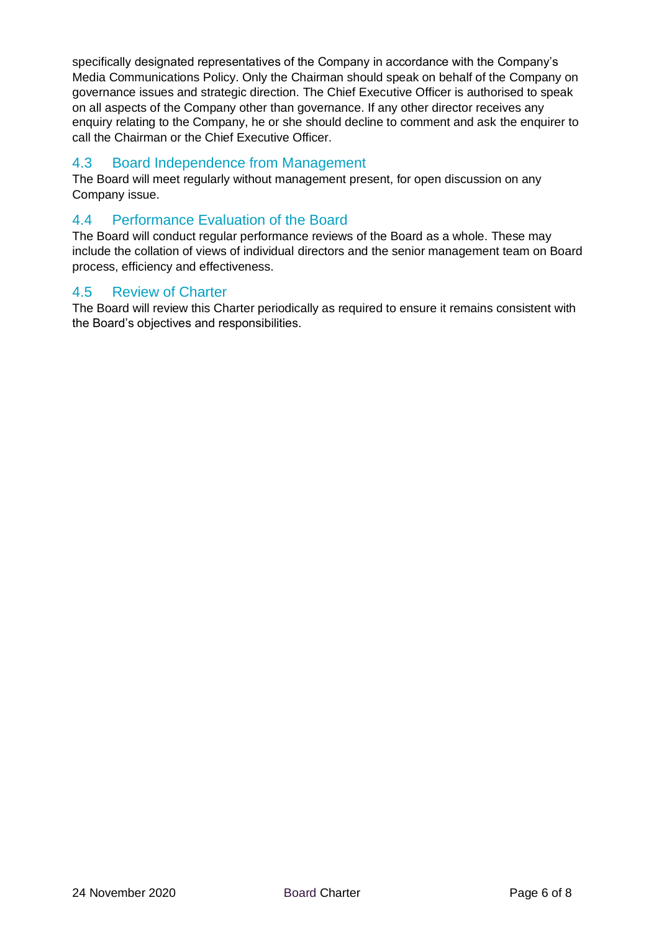specifically designated representatives of the Company in accordance with the Company's Media Communications Policy. Only the Chairman should speak on behalf of the Company on governance issues and strategic direction. The Chief Executive Officer is authorised to speak on all aspects of the Company other than governance. If any other director receives any enquiry relating to the Company, he or she should decline to comment and ask the enquirer to call the Chairman or the Chief Executive Officer.

## 4.3 Board Independence from Management

The Board will meet regularly without management present, for open discussion on any Company issue.

## 4.4 Performance Evaluation of the Board

The Board will conduct regular performance reviews of the Board as a whole. These may include the collation of views of individual directors and the senior management team on Board process, efficiency and effectiveness.

### 4.5 Review of Charter

The Board will review this Charter periodically as required to ensure it remains consistent with the Board's objectives and responsibilities.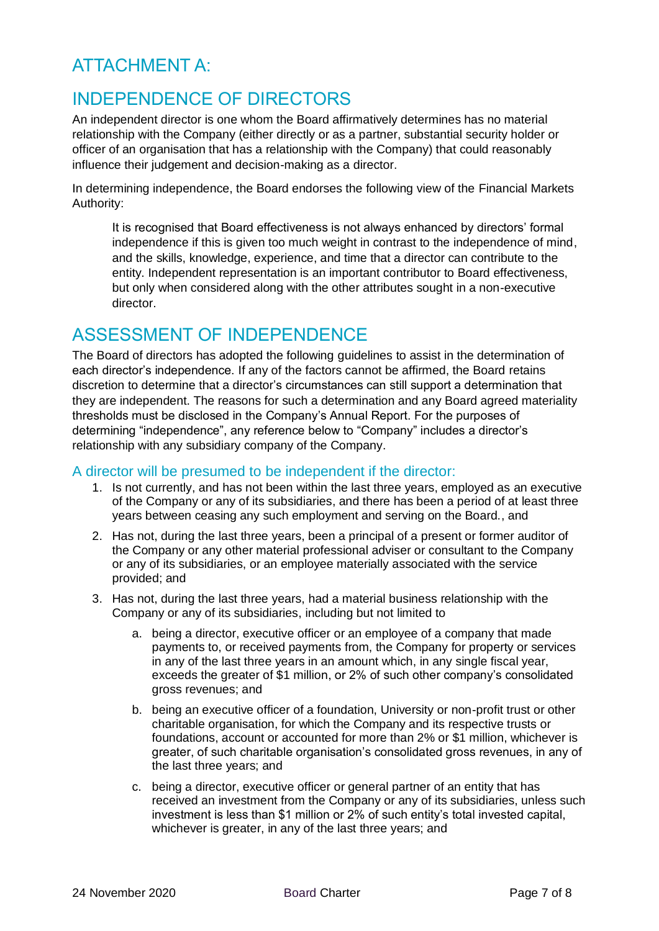## ATTACHMENT A:

## INDEPENDENCE OF DIRECTORS

An independent director is one whom the Board affirmatively determines has no material relationship with the Company (either directly or as a partner, substantial security holder or officer of an organisation that has a relationship with the Company) that could reasonably influence their judgement and decision-making as a director.

In determining independence, the Board endorses the following view of the Financial Markets Authority:

It is recognised that Board effectiveness is not always enhanced by directors' formal independence if this is given too much weight in contrast to the independence of mind, and the skills, knowledge, experience, and time that a director can contribute to the entity. Independent representation is an important contributor to Board effectiveness, but only when considered along with the other attributes sought in a non-executive director.

## ASSESSMENT OF INDEPENDENCE

The Board of directors has adopted the following guidelines to assist in the determination of each director's independence. If any of the factors cannot be affirmed, the Board retains discretion to determine that a director's circumstances can still support a determination that they are independent. The reasons for such a determination and any Board agreed materiality thresholds must be disclosed in the Company's Annual Report. For the purposes of determining "independence", any reference below to "Company" includes a director's relationship with any subsidiary company of the Company.

## A director will be presumed to be independent if the director:

- 1. Is not currently, and has not been within the last three years, employed as an executive of the Company or any of its subsidiaries, and there has been a period of at least three years between ceasing any such employment and serving on the Board., and
- 2. Has not, during the last three years, been a principal of a present or former auditor of the Company or any other material professional adviser or consultant to the Company or any of its subsidiaries, or an employee materially associated with the service provided; and
- 3. Has not, during the last three years, had a material business relationship with the Company or any of its subsidiaries, including but not limited to
	- a. being a director, executive officer or an employee of a company that made payments to, or received payments from, the Company for property or services in any of the last three years in an amount which, in any single fiscal year, exceeds the greater of \$1 million, or 2% of such other company's consolidated gross revenues; and
	- b. being an executive officer of a foundation, University or non-profit trust or other charitable organisation, for which the Company and its respective trusts or foundations, account or accounted for more than 2% or \$1 million, whichever is greater, of such charitable organisation's consolidated gross revenues, in any of the last three years; and
	- c. being a director, executive officer or general partner of an entity that has received an investment from the Company or any of its subsidiaries, unless such investment is less than \$1 million or 2% of such entity's total invested capital, whichever is greater, in any of the last three years; and